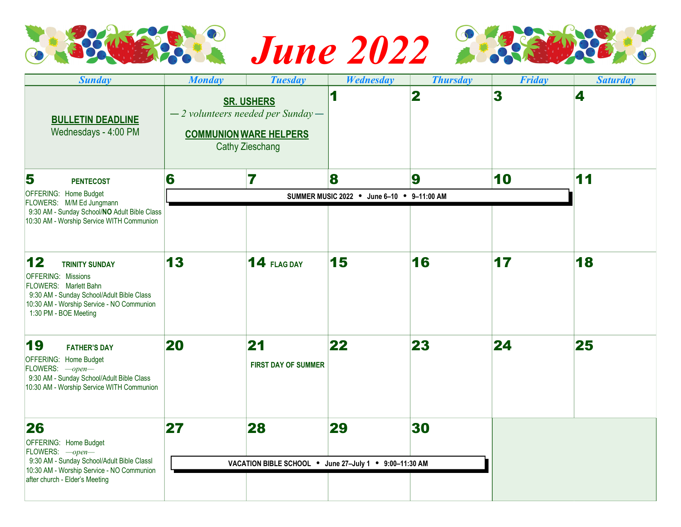## **June 2022 233243826.**

| <b>Sunday</b>                                                                                                                                                          | <b>Monday</b> | <b>Tuesday</b>                                                                                                 | Wednesday | <b>Thursday</b>         | <b>Friday</b>           | <b>Saturday</b> |
|------------------------------------------------------------------------------------------------------------------------------------------------------------------------|---------------|----------------------------------------------------------------------------------------------------------------|-----------|-------------------------|-------------------------|-----------------|
| <b>BULLETIN DEADLINE</b><br>Wednesdays - 4:00 PM                                                                                                                       |               | <b>SR. USHERS</b><br>$-2$ volunteers needed per Sunday $-$<br><b>COMMUNION WARE HELPERS</b><br>Cathy Zieschang | 1         | $\overline{\mathbf{2}}$ | $\overline{\mathbf{3}}$ | 4               |
| 5<br><b>PENTECOST</b>                                                                                                                                                  | 6             | 7                                                                                                              | 8         | 9                       | 10                      | 11              |
| OFFERING: Home Budget<br>FLOWERS: M/M Ed Jungmann<br>9:30 AM - Sunday School/NO Adult Bible Class<br>10:30 AM - Worship Service WITH Communion                         |               | SUMMER MUSIC 2022 . June 6-10 . 9-11:00 AM                                                                     |           |                         |                         |                 |
|                                                                                                                                                                        |               |                                                                                                                |           |                         |                         |                 |
| 12<br><b>TRINITY SUNDAY</b>                                                                                                                                            | 13            | <b>14 FLAG DAY</b>                                                                                             | 15        | 16                      | 17                      | 18              |
| <b>OFFERING: Missions</b><br>FLOWERS: Marlett Bahn<br>9:30 AM - Sunday School/Adult Bible Class<br>10:30 AM - Worship Service - NO Communion<br>1:30 PM - BOE Meeting  |               |                                                                                                                |           |                         |                         |                 |
| 19<br><b>FATHER'S DAY</b>                                                                                                                                              | 20            | 21                                                                                                             | 22        | 23                      | 24                      | 25              |
| OFFERING: Home Budget<br>FLOWERS: - open-<br>9:30 AM - Sunday School/Adult Bible Class<br>10:30 AM - Worship Service WITH Communion                                    |               | <b>FIRST DAY OF SUMMER</b>                                                                                     |           |                         |                         |                 |
| 26                                                                                                                                                                     | 27            | 28                                                                                                             | 29        | 30                      |                         |                 |
| OFFERING: Home Budget<br>FLOWERS: - open-<br>9:30 AM - Sunday School/Adult Bible Classl<br>10:30 AM - Worship Service - NO Communion<br>after church - Elder's Meeting |               |                                                                                                                |           |                         |                         |                 |
|                                                                                                                                                                        |               | VACATION BIBLE SCHOOL . June 27-July 1 . 9:00-11:30 AM                                                         |           |                         |                         |                 |
|                                                                                                                                                                        |               |                                                                                                                |           |                         |                         |                 |
|                                                                                                                                                                        |               |                                                                                                                |           |                         |                         |                 |